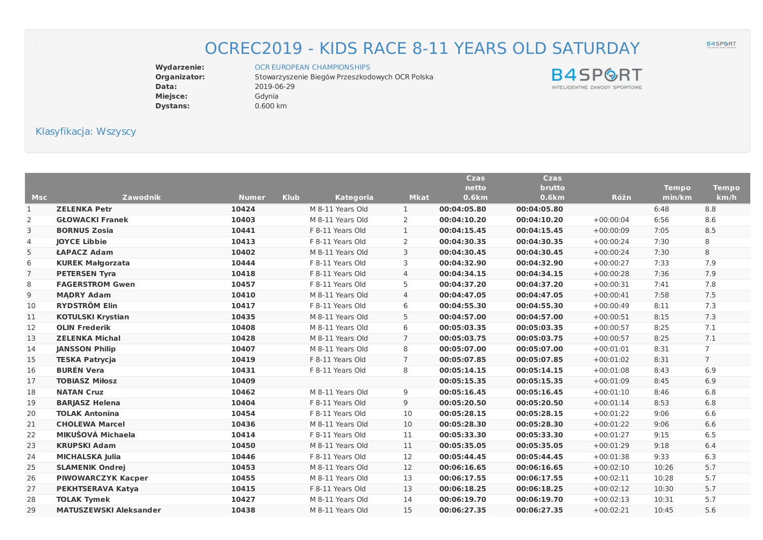## OCREC2019 - KIDS RACE 8-11 YEARS OLD SATURDAY

**Data:** 2019-06-29 **Miejsce:** Gdynia **Dystans:** 0.600 km

Wydarzenie: OCR EUROPEAN [CHAMPIONSHIPS](file:///index.php/ocr-european-championships/m292.html)<br> **Organizator:** Stowarzyszenie Biegów Przeszkod Stowarzyszenie Biegów Przeszkodowych OCR Polska

**B4SPORT** INTELIGENTNE ZAWODY SPORTOWE

## Klasyfikacja: Wszyscy

|                |                               |                             |                  |                | <b>Czas</b>  | <b>Czas</b> |             |              |                |
|----------------|-------------------------------|-----------------------------|------------------|----------------|--------------|-------------|-------------|--------------|----------------|
|                |                               |                             |                  |                | netto        | brutto      |             | <b>Tempo</b> | <b>Tempo</b>   |
| <b>Msc</b>     | <b>Zawodnik</b>               | <b>Klub</b><br><b>Numer</b> | <b>Kategoria</b> | <b>Mkat</b>    | <b>0.6km</b> | 0.6km       | Różn        | min/km       | km/h           |
| 1              | <b>ZELENKA Petr</b>           | 10424                       | M 8-11 Years Old | $\mathbf{1}$   | 00:04:05.80  | 00:04:05.80 |             | 6:48         | 8.8            |
| 2              | <b>GŁOWACKI Franek</b>        | 10403                       | M 8-11 Years Old | 2              | 00:04:10.20  | 00:04:10.20 | $+00:00:04$ | 6:56         | 8.6            |
| 3              | <b>BORNUS Zosia</b>           | 10441                       | F 8-11 Years Old | $\mathbf{1}$   | 00:04:15.45  | 00:04:15.45 | $+00:00:09$ | 7:05         | 8.5            |
| 4              | <b>JOYCE Libbie</b>           | 10413                       | F 8-11 Years Old | 2              | 00:04:30.35  | 00:04:30.35 | $+00:00:24$ | 7:30         | 8              |
| 5              | ŁAPACZ Adam                   | 10402                       | M 8-11 Years Old | 3              | 00:04:30.45  | 00:04:30.45 | $+00:00:24$ | 7:30         | 8              |
| 6              | <b>KUREK Małgorzata</b>       | 10444                       | F 8-11 Years Old | 3              | 00:04:32.90  | 00:04:32.90 | $+00:00:27$ | 7:33         | 7.9            |
| $\overline{7}$ | <b>PETERSEN Tyra</b>          | 10418                       | F 8-11 Years Old | 4              | 00:04:34.15  | 00:04:34.15 | $+00:00:28$ | 7:36         | 7.9            |
| 8              | <b>FAGERSTROM Gwen</b>        | 10457                       | F 8-11 Years Old | 5              | 00:04:37.20  | 00:04:37.20 | $+00:00:31$ | 7:41         | 7.8            |
| 9              | <b>MADRY Adam</b>             | 10410                       | M 8-11 Years Old | 4              | 00:04:47.05  | 00:04:47.05 | $+00:00:41$ | 7:58         | 7.5            |
| 10             | <b>RYDSTRÖM Elin</b>          | 10417                       | F 8-11 Years Old | 6              | 00:04:55.30  | 00:04:55.30 | $+00:00:49$ | 8:11         | 7.3            |
| 11             | <b>KOTULSKI Krystian</b>      | 10435                       | M 8-11 Years Old | 5              | 00:04:57.00  | 00:04:57.00 | $+00:00:51$ | 8:15         | 7.3            |
| 12             | <b>OLIN Frederik</b>          | 10408                       | M 8-11 Years Old | 6              | 00:05:03.35  | 00:05:03.35 | $+00:00:57$ | 8:25         | 7.1            |
| 13             | <b>ZELENKA Michal</b>         | 10428                       | M 8-11 Years Old | $\overline{7}$ | 00:05:03.75  | 00:05:03.75 | $+00:00:57$ | 8:25         | 7.1            |
| 14             | <b>JANSSON Philip</b>         | 10407                       | M 8-11 Years Old | 8              | 00:05:07.00  | 00:05:07.00 | $+00:01:01$ | 8:31         | $\overline{7}$ |
| 15             | <b>TESKA Patrycja</b>         | 10419                       | F 8-11 Years Old | $\overline{7}$ | 00:05:07.85  | 00:05:07.85 | $+00:01:02$ | 8:31         | $\overline{7}$ |
| 16             | <b>BURÉN Vera</b>             | 10431                       | F 8-11 Years Old | 8              | 00:05:14.15  | 00:05:14.15 | $+00:01:08$ | 8:43         | 6.9            |
| 17             | <b>TOBIASZ Miłosz</b>         | 10409                       |                  |                | 00:05:15.35  | 00:05:15.35 | $+00:01:09$ | 8:45         | 6.9            |
| 18             | <b>NATAN Cruz</b>             | 10462                       | M 8-11 Years Old | 9              | 00:05:16.45  | 00:05:16.45 | $+00:01:10$ | 8:46         | 6.8            |
| 19             | <b>BARJASZ Helena</b>         | 10404                       | F 8-11 Years Old | 9              | 00:05:20.50  | 00:05:20.50 | $+00:01:14$ | 8:53         | 6.8            |
| 20             | <b>TOLAK Antonina</b>         | 10454                       | F 8-11 Years Old | 10             | 00:05:28.15  | 00:05:28.15 | $+00:01:22$ | 9:06         | 6.6            |
| 21             | <b>CHOLEWA Marcel</b>         | 10436                       | M 8-11 Years Old | 10             | 00:05:28.30  | 00:05:28.30 | $+00:01:22$ | 9:06         | 6.6            |
| 22             | MIKUŠOVÁ Michaela             | 10414                       | F 8-11 Years Old | 11             | 00:05:33.30  | 00:05:33.30 | $+00:01:27$ | 9:15         | 6.5            |
| 23             | <b>KRUPSKI Adam</b>           | 10450                       | M 8-11 Years Old | 11             | 00:05:35.05  | 00:05:35.05 | $+00:01:29$ | 9:18         | 6.4            |
| 24             | <b>MICHALSKA Julia</b>        | 10446                       | F 8-11 Years Old | 12             | 00:05:44.45  | 00:05:44.45 | $+00:01:38$ | 9:33         | 6.3            |
| 25             | <b>SLAMENIK Ondrej</b>        | 10453                       | M 8-11 Years Old | 12             | 00:06:16.65  | 00:06:16.65 | $+00:02:10$ | 10:26        | 5.7            |
| 26             | <b>PIWOWARCZYK Kacper</b>     | 10455                       | M 8-11 Years Old | 13             | 00:06:17.55  | 00:06:17.55 | $+00:02:11$ | 10:28        | 5.7            |
| 27             | <b>PEKHTSERAVA Katya</b>      | 10415                       | F 8-11 Years Old | 13             | 00:06:18.25  | 00:06:18.25 | $+00:02:12$ | 10:30        | 5.7            |
| 28             | <b>TOLAK Tymek</b>            | 10427                       | M 8-11 Years Old | 14             | 00:06:19.70  | 00:06:19.70 | $+00:02:13$ | 10:31        | 5.7            |
| 29             | <b>MATUSZEWSKI Aleksander</b> | 10438                       | M 8-11 Years Old | 15             | 00:06:27.35  | 00:06:27.35 | $+00:02:21$ | 10:45        | 5.6            |
|                |                               |                             |                  |                |              |             |             |              |                |

B4SP<sup>ORT</sup>